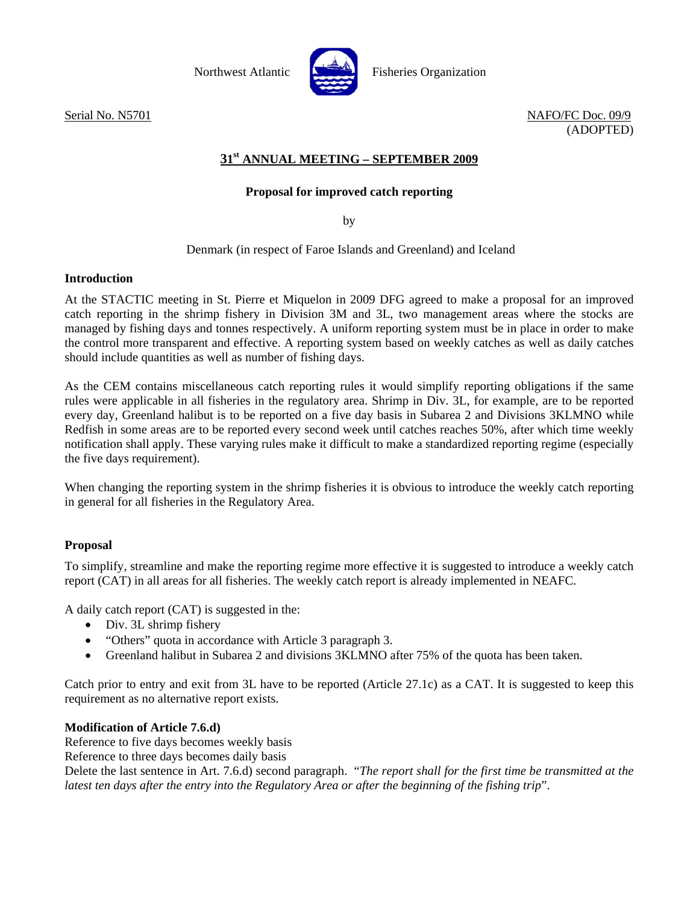

Northwest Atlantic Fisheries Organization

Serial No. N5701 NAFO/FC Doc. 09/9 (ADOPTED)

# **31st ANNUAL MEETING – SEPTEMBER 2009**

# **Proposal for improved catch reporting**

by

Denmark (in respect of Faroe Islands and Greenland) and Iceland

### **Introduction**

At the STACTIC meeting in St. Pierre et Miquelon in 2009 DFG agreed to make a proposal for an improved catch reporting in the shrimp fishery in Division 3M and 3L, two management areas where the stocks are managed by fishing days and tonnes respectively. A uniform reporting system must be in place in order to make the control more transparent and effective. A reporting system based on weekly catches as well as daily catches should include quantities as well as number of fishing days.

As the CEM contains miscellaneous catch reporting rules it would simplify reporting obligations if the same rules were applicable in all fisheries in the regulatory area. Shrimp in Div. 3L, for example, are to be reported every day, Greenland halibut is to be reported on a five day basis in Subarea 2 and Divisions 3KLMNO while Redfish in some areas are to be reported every second week until catches reaches 50%, after which time weekly notification shall apply. These varying rules make it difficult to make a standardized reporting regime (especially the five days requirement).

When changing the reporting system in the shrimp fisheries it is obvious to introduce the weekly catch reporting in general for all fisheries in the Regulatory Area.

# **Proposal**

To simplify, streamline and make the reporting regime more effective it is suggested to introduce a weekly catch report (CAT) in all areas for all fisheries. The weekly catch report is already implemented in NEAFC.

A daily catch report (CAT) is suggested in the:

- Div. 3L shrimp fishery
- "Others" quota in accordance with Article 3 paragraph 3.
- Greenland halibut in Subarea 2 and divisions 3KLMNO after 75% of the quota has been taken.

Catch prior to entry and exit from 3L have to be reported (Article 27.1c) as a CAT. It is suggested to keep this requirement as no alternative report exists.

# **Modification of Article 7.6.d)**

Reference to five days becomes weekly basis

Reference to three days becomes daily basis

Delete the last sentence in Art. 7.6.d) second paragraph. "*The report shall for the first time be transmitted at the latest ten days after the entry into the Regulatory Area or after the beginning of the fishing trip*".